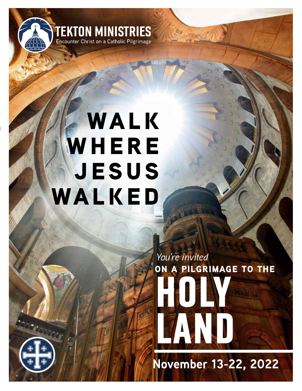

# **WALK WHERE jesus walked**

**HOLY LAND on a pilgrimage to the** *You're invited*

**November 13-22, 2022**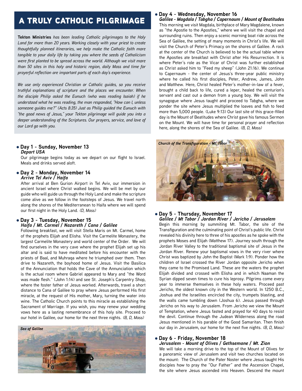# a truly catholic pilgrimage

**Tekton Ministries** *has been leading Catholic pilgrimages to the Holy Land for more than 20 years. Working closely with your priest to create thoughtfully planned itineraries, we help make the Catholic faith more tangible to your daily life by taking you where the seeds of Catholicism were first planted to be spread across the world. Although we visit more than 50 sites in this holy and historic region, daily Mass and time for prayerful reflection are important parts of each day's experience.*

*We use only experienced Christian or Catholic guides, so you receive truthful explanations of scripture and the places we encounter. When the disciple Philip asked the Eunuch (who was reading Isaiah) if he understood what he was reading, the man responded, "How can I, unless someone guides me?" (Acts 8:35) Just as Philip guided the Eunuch with "the good news of Jesus," your Tekton pilgrimage will guide you into a deeper understanding of the Scriptures. Our prayers, service, and love of our Lord go with you.*

#### l **Day 1 - Sunday, November 13** *Depart USA*

Our pilgrimage begins today as we depart on our flight to Israel. Meals and drinks served aloft.

#### l **Day 2 - Monday, November 14** *Arrive Tel Aviv / Haifa*

After arrival at Ben Gurion Airport in Tel Aviv, our immersion in ancient Israel where Christ walked begins. We will be met by our guide who will guide us through the Holy Land and make the scripture come alive as we follow in the footsteps of Jesus. We travel north along the shores of the Mediterranean to Haifa where we will spend our first night in the Holy Land. *(D, Mass)*

#### l **Day 3 - Tuesday, November 15** *Haifa / Mt. Carmel / Nazareth / Cana / Galilee*

Following breakfast, we will visit Stella Maris on Mt. Carmel, home of the prophets Elijah and Elisha. Visit the Carmelite Monastery, the largest Carmelite Monastery and world center of the Order. We will find ourselves in the very cave where the prophet Elijah set up his altar and is said to have meditated before his encounter with the priests of Baal, and Muhraqa where he triumphed over them. Then drive to Nazareth, the boyhood home of Jesus. Visit the Basilica of the Annunciation that holds the Cave of the Annunciation which is the actual room where Gabriel appeared to Mary and "the Word was made flesh." (John 1:14) and see St. Joseph's Carpentry Shop, where the foster father of Jesus worked. Afterwards, travel a short distance to Cana of Galilee to pray where Jesus performed His first miracle, at the request of His mother, Mary, turning the water into wine. The Catholic Church points to this miracle as establishing the Sacrament of Marriage. If you wish, you may renew your wedding vows here as a lasting remembrance of this holy site. Proceed to our hotel in Galilee, our home for the next three nights. *(B, D, Mass)*



#### l **Day 4 - Wednesday, November 16**

*Galilee - Magdala / Tabgha / Capernaum / Mount of Beatitudes* This morning we visit Magdala, birthplace of Mary Magdalene, known as "the Apostle to the Apostles," where we will visit the chapel and surrounding ruins. Then enjoy a scenic morning boat ride across the Sea of Galilee, the setting of many moments in Christ's life. We will visit the Church of Peter's Primacy on the shores of Galilee. A rock at the center of the Church is believed to be the actual table where the Apostles ate breakfast with Christ after His Resurrection. It is where Peter's role as the Vicar of Christ was further established as Christ asked him to "Feed my sheep" (John 21:16). We continue to Capernaum - the center of Jesus's three-year public ministry where he called his first disciples, Peter, Andrew, James, John and Matthew. Here, Christ healed Peter's mother-in-law of a fever, brought a child back to life, cured a leper, healed the centurion's servant and cast out a demon from a young boy. We will visit the synagogue where Jesus taught and proceed to Tabgha, where we ponder the site where Jesus multiplied the loaves and fish to feed more than 5,000 people. (Luke 9:13) Our last site of this grace-filled day is the Mount of Beatitudes where Christ gave his famous Sermon on the Mount. We will have time for personal prayer and reflection here, along the shores of the Sea of Galilee. *(B, D, Mass)*



### l **Day 5 - Thursday, November 17**

*Galilee / Mt Tabor / Jordan River / Jericho / Jerusalem* Begin this morning by summiting Mt. Tabor, the site of the Transfiguration and the culminating point of Christ's public life. Christ revealed his divinity here to three of his apostles as he spoke with the prophets Moses and Elijah (Matthew 17). Journey south through the Jordan River Valley to the traditional baptismal site of Jesus in the Jordan River. Renew your baptismal vows in the very river where Christ was baptized by John the Baptist (Mark 1:9). Ponder how the children of Israel crossed the River Jordan opposite Jericho when they came to the Promised Land. These are the waters the prophet Elijah divided and crossed with Elisha and in which Naaman the Syrian dipped seven times to cure his leprosy. Pilgrims come every year to immerse themselves in these holy waters. Proceed past Jericho, the oldest known city in the Western world. In 1250 B.C., Joshua and the Israelites encircled the city, trumpets blasting, and the walls came tumbling down (Joshua 6). Jesus passed through Jericho on his way to Jerusalem. From Jericho we view the Mount of Temptation, where Jesus fasted and prayed for 40 days to resist the devil. Continue through the Judean Wilderness along the road Jesus mentioned in his parable of the Good Samaritan. Then finish our day in Jerusalem, our home for the next five nights. *(B, D, Mass)*

#### l **Day 6 - Friday, November 18**

*Jerusalem - Mount of Olives / Gethsemane / Mt. Zion* We will take a morning drive to the top of the Mount of Olives for a panoramic view of Jerusalem and visit two churches located on the mount: The Church of the Pater Noster where Jesus taught His disciples how to pray the "Our Father" and the Ascension Chapel, the site where Jesus ascended into Heaven. Descend the mount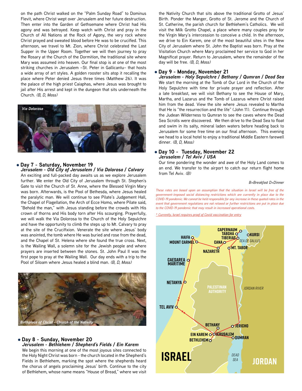on the path Christ walked on the "Palm Sunday Road" to Dominus Flevit, where Christ wept over Jerusalem and her future destruction. Then enter into the Garden of Gethsemane where Christ had His agony and was betrayed. Keep watch with Christ and pray in the Church of All Nations at the Rock of Agony, the very rock where Christ prayed and sweated blood before He was to be crucified. This afternoon, we travel to Mt. Zion, where Christ celebrated the Last Supper in the Upper Room. Together we will then journey to pray the Rosary at the Church of the Dormition, the traditional site where Mary was assumed into heaven. Our final stop is at one of the most striking churches in Jerusalem –St. Peter in Gallicantu– that hosts a wide array of art styles. A golden rooster sits atop it recalling the place where Peter denied Jesus three times (Matthew 26). It was the palace of the high priest Caiaphas, where Jesus was brought to jail after His arrest and kept in the dungeon that sits underneath the Church. *(B, D, Mass)*



#### l **Day 7 - Saturday, November 19**

*Jerusalem - Old City of Jerusalem / Via Dolorosa / Calvary* An exciting and full-packed day awaits us as we explore Jerusalem further. We enter the Old City of Jerusalem through St. Stephen's Gate to visit the Church of St. Anne, where the Blessed Virgin Mary was born. Afterwards, is the Pool of Bethesda, where Jesus healed the paralytic man. We will continue to see Pilate's Judgement Hall, the Chapel of Flagellation, the Arch of Ecce Homo, where Pilate said, "Behold the man," with Jesus standing before the crowds with His crown of thorns and His body torn after His scourging. Prayerfully, we will walk the Via Dolorosa to the Church of the Holy Sepulchre and have the opportunity to climb the steps up to Mt. Calvary to pray at the site of the Crucifixion. Venerate the site where Jesus' body was anointed, the tomb where He was buried and rose from the dead, and the Chapel of St. Helena where she found the true cross. Next, is the Wailing Wall, a solemn site for the Jewish people and where prayers are inserted between the stones. St. John Paul II was the first pope to pray at the Wailing Wall. Our day ends with a trip to the Pool of Siloam where Jesus healed a blind man. *(B, D, Mass)*



#### l **Day 8 - Sunday, November 20** *Jerusalem - Bethlehem / Shepherd's Fields / Ein Karem*

We begin this morning at one of the most joyous sites connected to the Holy Night Christ was born - the church located in the Shepherd's Fields in Bethlehem, marking the spot where the shepherds heard the chorus of angels proclaiming Jesus' birth. Continue to the city of Bethlehem, whose name means "House of Bread," where we visit the Nativity Church that sits above the traditional Grotto of Jesus' Birth. Ponder the Manger, Grotto of St. Jerome and the Church of St. Catherine, the parish church for Bethlehem's Catholics. We will visit the Milk Grotto Chapel, a place where many couples pray for the Virgin Mary's intercession to conceive a child. In the afternoon, we drive to Ein Karem, one of the most beautiful sites in the New City of Jerusalem where St. John the Baptist was born. Pray at the Visitation Church where Mary proclaimed her service to God in her Magnificat prayer. Return to Jerusalem, where the remainder of the day will be free. *(B, D, Mass)*

#### l **Day 9 - Monday, November 21**

*Jerusalem - Holy Sepulchre / Bethany / Qumran / Dead Sea* We start the morning at the Tomb of Our Lord in the Church of the Holy Sepulchre with time for private prayer and reflection. After a late breakfast, we will visit Bethany to see the House of Mary, Martha, and Lazarus and the Tomb of Lazarus where Christ raised him from the dead. View the site where Jesus revealed to Martha that He is "the resurrection and the life" (John 11). Continue through the Judean Wilderness to Qumran to see the caves where the Dead Sea Scrolls were discovered. We then drive to the Dead Sea to float and swim in its salty, mineral laden waters before heading back to Jerusalem for some free time on our final afternoon. This evening we head to a local hotel to enjoy a traditional Middle Eastern farewell dinner. *(B, D, Mass)*

#### **Day 10 - Tuesday, November 22** *Jerusalem / Tel Aviv / USA*

Our time pondering the wonder and awe of the Holy Land comes to an end. We transfer to the airport to catch our return flight home from Tel Aviv. *(B)*

#### *B=Breakfast D=Dinner*

*government-imposed social distancing restrictions which are currently in place due to the covernment-imposed social distancing restrictions which are currently in place due to the COVID-19 pandemic. We cannot be held resp* B=Breakfast D=Dinner<br>These rates are based upon an assumption that the situation in Israel will be free of the **Philippi**<br>COVID-19 pandemic. We cannot be held responsible for any increase in these quoted rates in the *event that government regulations are not relaxed or further restrictions are put in place due to the COVID-19 pandemic that may result in increased operational costs.* 

*\* Currently, Israel requires proof of Covid vaccination for entry*